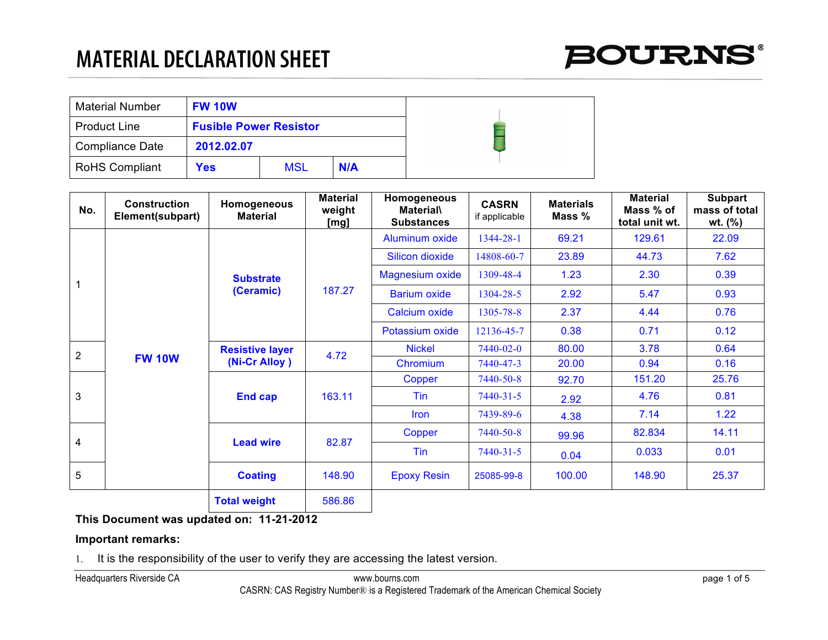# **MATERIAL DECLARATION SHEET**

| <b>Material Number</b> | <b>FW 10W</b>                 |     |     |
|------------------------|-------------------------------|-----|-----|
| <b>Product Line</b>    | <b>Fusible Power Resistor</b> |     |     |
| <b>Compliance Date</b> | 2012.02.07                    |     |     |
| <b>RoHS Compliant</b>  | Yes                           | MSL | N/A |

| No.            | <b>Construction</b><br>Element(subpart) | Homogeneous<br><b>Material</b> | <b>Material</b><br>weight<br><u>[mg]</u> | Homogeneous<br><b>Material\</b><br><b>Substances</b> | <b>CASRN</b><br>if applicable | <b>Materials</b><br>Mass % | <b>Material</b><br>Mass % of<br>total unit wt. | <b>Subpart</b><br>mass of total<br>wt. $(\%)$ |
|----------------|-----------------------------------------|--------------------------------|------------------------------------------|------------------------------------------------------|-------------------------------|----------------------------|------------------------------------------------|-----------------------------------------------|
|                |                                         |                                |                                          | Aluminum oxide                                       | 1344-28-1                     | 69.21                      | 129.61                                         | 22.09                                         |
|                |                                         |                                |                                          | <b>Silicon dioxide</b>                               | 14808-60-7                    | 23.89                      | 44.73                                          | 7.62                                          |
| $\mathbf 1$    |                                         | <b>Substrate</b>               | 187.27                                   | <b>Magnesium oxide</b>                               | 1309-48-4                     | 1.23                       | 2.30                                           | 0.39                                          |
|                |                                         | (Ceramic)                      |                                          | <b>Barium oxide</b>                                  | 1304-28-5                     | 2.92                       | 5.47                                           | 0.93                                          |
|                |                                         |                                |                                          | Calcium oxide                                        | 1305-78-8                     | 2.37                       | 4.44                                           | 0.76                                          |
|                |                                         |                                |                                          | Potassium oxide                                      | 12136-45-7                    | 0.38                       | 0.71                                           | 0.12                                          |
| $\overline{2}$ |                                         | <b>Resistive layer</b>         | 4.72                                     | <b>Nickel</b>                                        | 7440-02-0                     | 80.00                      | 3.78                                           | 0.64                                          |
|                | <b>FW 10W</b>                           | (Ni-Cr Alloy)                  |                                          | Chromium                                             | 7440-47-3                     | 20.00                      | 0.94                                           | 0.16                                          |
|                |                                         | <b>End cap</b>                 | 163.11                                   | Copper                                               | 7440-50-8                     | 92.70                      | 151.20                                         | 25.76                                         |
| 3              |                                         |                                |                                          | Tin                                                  | $7440 - 31 - 5$               | 2.92                       | 4.76                                           | 0.81                                          |
|                |                                         |                                |                                          | Iron                                                 | 7439-89-6                     | 4.38                       | 7.14                                           | 1.22                                          |
| 4              |                                         | <b>Lead wire</b>               | 82.87                                    | Copper                                               | 7440-50-8                     | 99.96                      | 82.834                                         | 14.11                                         |
|                |                                         |                                |                                          | Tin                                                  | $7440 - 31 - 5$               | 0.04                       | 0.033                                          | 0.01                                          |
| 5              |                                         | <b>Coating</b>                 | 148.90                                   | <b>Epoxy Resin</b>                                   | 25085-99-8                    | 100.00                     | 148.90                                         | 25.37                                         |
|                |                                         | <b>Total weight</b>            | 586.86                                   |                                                      |                               |                            |                                                |                                               |

## **This Document was updated on: 11-21-2012**

## **Important remarks:**

1. It is the responsibility of the user to verify they are accessing the latest version.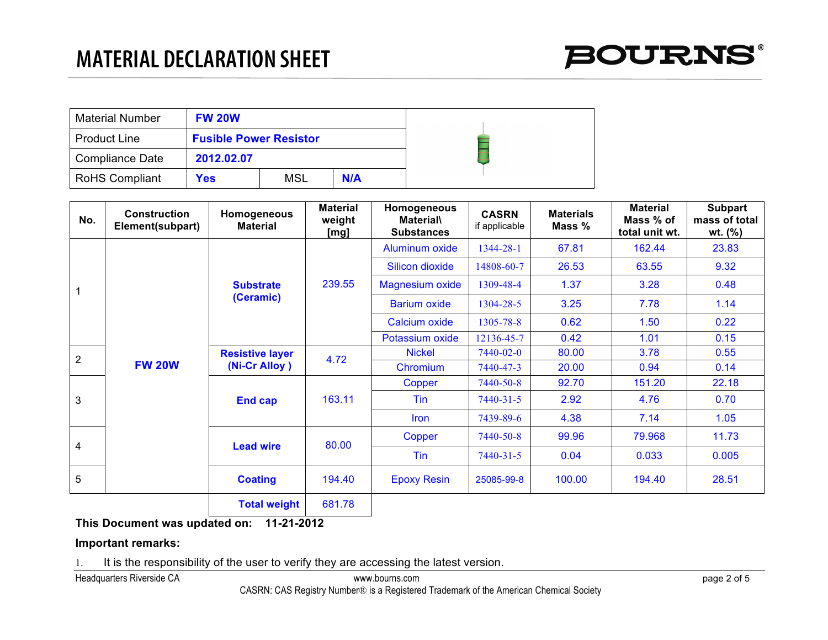| <b>Material Number</b> | <b>FW 20W</b>                 |     |     |
|------------------------|-------------------------------|-----|-----|
| <b>Product Line</b>    | <b>Fusible Power Resistor</b> |     |     |
| Compliance Date        | 2012.02.07                    |     |     |
| <b>RoHS Compliant</b>  | <b>Yes</b>                    | MSL | N/A |

| No.            | <b>Construction</b><br>Element(subpart) | Homogeneous<br><b>Material</b> | <b>Material</b><br>weight<br>[mg] | Homogeneous<br><b>Material\</b><br><b>Substances</b> | <b>CASRN</b><br>if applicable | <b>Materials</b><br>Mass % | <b>Material</b><br>Mass % of<br>total unit wt. | <b>Subpart</b><br>mass of total<br>wt. $(\% )$ |
|----------------|-----------------------------------------|--------------------------------|-----------------------------------|------------------------------------------------------|-------------------------------|----------------------------|------------------------------------------------|------------------------------------------------|
|                |                                         |                                |                                   | Aluminum oxide                                       | 1344-28-1                     | 67.81                      | 162.44                                         | 23.83                                          |
|                |                                         |                                |                                   | <b>Silicon dioxide</b>                               | 14808-60-7                    | 26.53                      | 63.55                                          | 9.32                                           |
| $\overline{1}$ |                                         | <b>Substrate</b>               | 239.55                            | <b>Magnesium oxide</b>                               | 1309-48-4                     | 1.37                       | 3.28                                           | 0.48                                           |
|                |                                         | (Ceramic)                      |                                   | <b>Barium oxide</b>                                  | 1304-28-5                     | 3.25                       | 7.78                                           | 1.14                                           |
|                |                                         |                                |                                   | Calcium oxide                                        | 1305-78-8                     | 0.62                       | 1.50                                           | 0.22                                           |
|                |                                         |                                |                                   | Potassium oxide                                      | 12136-45-7                    | 0.42                       | 1.01                                           | 0.15                                           |
| $\overline{2}$ |                                         | <b>Resistive layer</b>         | 4.72                              | <b>Nickel</b>                                        | 7440-02-0                     | 80.00                      | 3.78                                           | 0.55                                           |
|                | <b>FW 20W</b>                           | (Ni-Cr Alloy)                  |                                   | Chromium                                             | 7440-47-3                     | 20.00                      | 0.94                                           | 0.14                                           |
|                |                                         | <b>End cap</b>                 | 163.11                            | Copper                                               | 7440-50-8                     | 92.70                      | 151.20                                         | 22.18                                          |
| 3              |                                         |                                |                                   | Tin                                                  | $7440 - 31 - 5$               | 2.92                       | 4.76                                           | 0.70                                           |
|                |                                         |                                |                                   | <b>Iron</b>                                          | 7439-89-6                     | 4.38                       | 7.14                                           | 1.05                                           |
|                |                                         |                                | 80.00                             | Copper                                               | 7440-50-8                     | 99.96                      | 79.968                                         | 11.73                                          |
| $\overline{4}$ |                                         | <b>Lead wire</b>               |                                   | Tin                                                  | 7440-31-5                     | 0.04                       | 0.033                                          | 0.005                                          |
| 5              |                                         | <b>Coating</b>                 | 194.40                            | <b>Epoxy Resin</b>                                   | 25085-99-8                    | 100.00                     | 194.40                                         | 28.51                                          |
|                |                                         | <b>Total weight</b>            | 681.78                            |                                                      |                               |                            |                                                |                                                |

## **Important remarks:**

1. It is the responsibility of the user to verify they are accessing the latest version.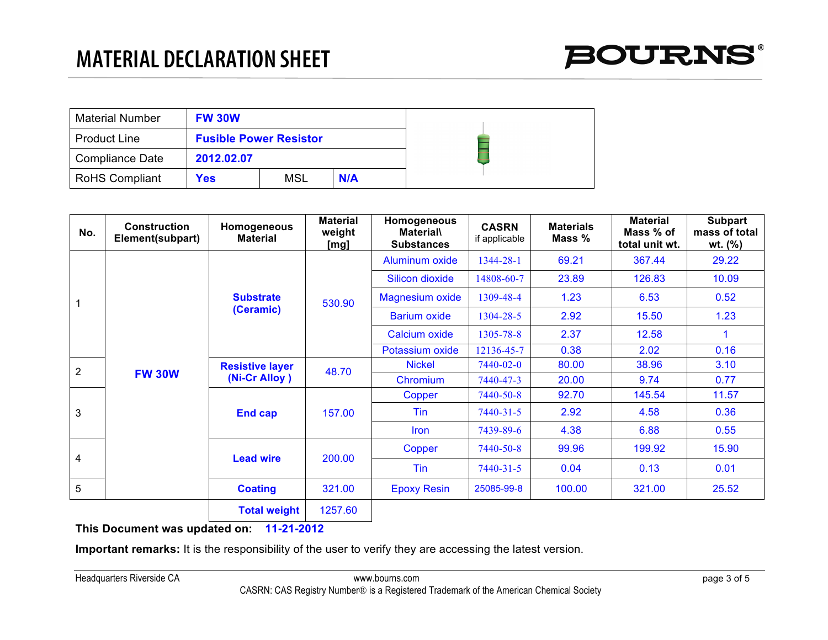| <b>Material Number</b> | <b>FW 30W</b>                 |     |     |
|------------------------|-------------------------------|-----|-----|
| <b>Product Line</b>    | <b>Fusible Power Resistor</b> |     |     |
| <b>Compliance Date</b> | 2012.02.07                    |     |     |
| <b>RoHS Compliant</b>  | Yes                           | MSL | N/A |

| No.            | <b>Construction</b><br>Element(subpart) | Homogeneous<br><b>Material</b> | <b>Material</b><br>weight<br>[mg] | Homogeneous<br><b>Material\</b><br><b>Substances</b> | <b>CASRN</b><br>if applicable | <b>Materials</b><br>Mass % | <b>Material</b><br>Mass % of<br>total unit wt. | <b>Subpart</b><br>mass of total<br>wt. $(\% )$ |
|----------------|-----------------------------------------|--------------------------------|-----------------------------------|------------------------------------------------------|-------------------------------|----------------------------|------------------------------------------------|------------------------------------------------|
|                |                                         |                                |                                   | Aluminum oxide                                       | 1344-28-1                     | 69.21                      | 367.44                                         | 29.22                                          |
|                |                                         |                                |                                   | Silicon dioxide                                      | 14808-60-7                    | 23.89                      | 126.83                                         | 10.09                                          |
| $\mathbf{1}$   |                                         | <b>Substrate</b><br>(Ceramic)  | 530.90                            | <b>Magnesium oxide</b>                               | 1309-48-4                     | 1.23                       | 6.53                                           | 0.52                                           |
|                |                                         |                                |                                   | <b>Barium oxide</b>                                  | 1304-28-5                     | 2.92                       | 15.50                                          | 1.23                                           |
|                |                                         |                                |                                   | Calcium oxide                                        | 1305-78-8                     | 2.37                       | 12.58                                          |                                                |
|                |                                         |                                |                                   | Potassium oxide                                      | 12136-45-7                    | 0.38                       | 2.02                                           | 0.16                                           |
| 2              |                                         | <b>Resistive layer</b>         |                                   | <b>Nickel</b>                                        | 7440-02-0                     | 80.00                      | 38.96                                          | 3.10                                           |
|                | <b>FW 30W</b>                           | (Ni-Cr Alloy)                  | 48.70                             | Chromium                                             | 7440-47-3                     | 20.00                      | 9.74                                           | 0.77                                           |
|                |                                         | <b>End cap</b>                 | 157.00                            | Copper                                               | 7440-50-8                     | 92.70                      | 145.54                                         | 11.57                                          |
| 3              |                                         |                                |                                   | Tin                                                  | $7440 - 31 - 5$               | 2.92                       | 4.58                                           | 0.36                                           |
|                |                                         |                                |                                   | <b>Iron</b>                                          | 7439-89-6                     | 4.38                       | 6.88                                           | 0.55                                           |
| $\overline{4}$ |                                         | <b>Lead wire</b>               | 200.00                            | Copper                                               | 7440-50-8                     | 99.96                      | 199.92                                         | 15.90                                          |
|                |                                         |                                |                                   | Tin                                                  | $7440 - 31 - 5$               | 0.04                       | 0.13                                           | 0.01                                           |
| 5              |                                         | <b>Coating</b>                 | 321.00                            | <b>Epoxy Resin</b>                                   | 25085-99-8                    | 100.00                     | 321.00                                         | 25.52                                          |
|                |                                         | <b>Total weight</b>            | 1257.60                           |                                                      |                               |                            |                                                |                                                |

**Important remarks:** It is the responsibility of the user to verify they are accessing the latest version.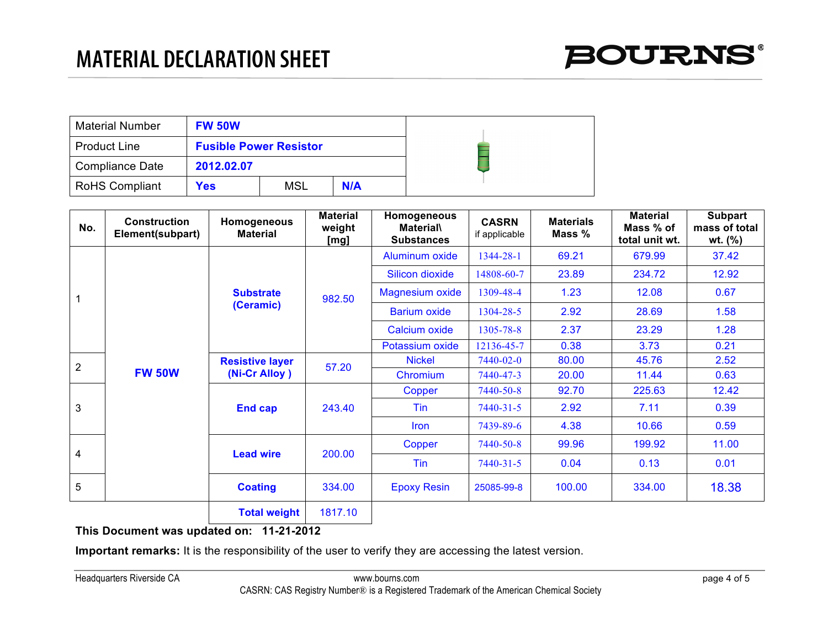| <b>Material Number</b> | <b>FW 50W</b>                 |     |     |
|------------------------|-------------------------------|-----|-----|
| <b>Product Line</b>    | <b>Fusible Power Resistor</b> |     |     |
| <b>Compliance Date</b> | 2012.02.07                    |     |     |
| <b>RoHS Compliant</b>  | <b>Yes</b>                    | MSL | N/A |

| No.            | <b>Construction</b><br>Element(subpart) | Homogeneous<br><b>Material</b> | <b>Material</b><br>weight<br>[mg] | Homogeneous<br><b>Material\</b><br><b>Substances</b> | <b>CASRN</b><br>if applicable | <b>Materials</b><br>Mass % | <b>Material</b><br>Mass % of<br>total unit wt. | <b>Subpart</b><br>mass of total<br>wt. $(\% )$ |
|----------------|-----------------------------------------|--------------------------------|-----------------------------------|------------------------------------------------------|-------------------------------|----------------------------|------------------------------------------------|------------------------------------------------|
|                |                                         |                                |                                   | Aluminum oxide                                       | 1344-28-1                     | 69.21                      | 679.99                                         | 37.42                                          |
|                |                                         |                                |                                   | Silicon dioxide                                      | 14808-60-7                    | 23.89                      | 234.72                                         | 12.92                                          |
| $\mathbf{1}$   |                                         | <b>Substrate</b>               | 982.50                            | <b>Magnesium oxide</b>                               | 1309-48-4                     | 1.23                       | 12.08                                          | 0.67                                           |
|                |                                         | (Ceramic)                      |                                   | <b>Barium oxide</b>                                  | 1304-28-5                     | 2.92                       | 28.69                                          | 1.58                                           |
|                |                                         |                                |                                   | Calcium oxide                                        | 1305-78-8                     | 2.37                       | 23.29                                          | 1.28                                           |
|                |                                         |                                |                                   | Potassium oxide                                      | 12136-45-7                    | 0.38                       | 3.73                                           | 0.21                                           |
| $\overline{2}$ |                                         | <b>Resistive layer</b>         | 57.20                             | <b>Nickel</b>                                        | 7440-02-0                     | 80.00                      | 45.76                                          | 2.52                                           |
|                | <b>FW 50W</b>                           | (Ni-Cr Alloy)                  |                                   | Chromium                                             | 7440-47-3                     | 20.00                      | 11.44                                          | 0.63                                           |
|                |                                         | <b>End cap</b>                 | 243.40                            | Copper                                               | 7440-50-8                     | 92.70                      | 225.63                                         | 12.42                                          |
| 3              |                                         |                                |                                   | <b>Tin</b>                                           | $7440 - 31 - 5$               | 2.92                       | 7.11                                           | 0.39                                           |
|                |                                         |                                |                                   | <b>Iron</b>                                          | 7439-89-6                     | 4.38                       | 10.66                                          | 0.59                                           |
|                |                                         |                                |                                   | Copper                                               | 7440-50-8                     | 99.96                      | 199.92                                         | 11.00                                          |
| $\overline{4}$ |                                         | <b>Lead wire</b>               | 200.00                            | Tin                                                  | $7440 - 31 - 5$               | 0.04                       | 0.13                                           | 0.01                                           |
| 5              |                                         | <b>Coating</b>                 | 334.00                            | <b>Epoxy Resin</b>                                   | 25085-99-8                    | 100.00                     | 334.00                                         | 18.38                                          |
|                |                                         | <b>Total weight</b>            | 1817.10                           |                                                      |                               |                            |                                                |                                                |

**Important remarks:** It is the responsibility of the user to verify they are accessing the latest version.